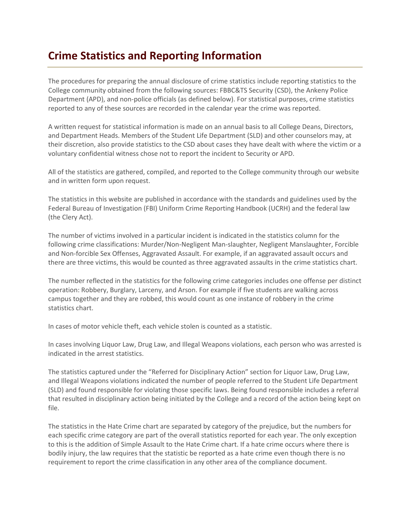## **Crime Statistics and Reporting Information**

The procedures for preparing the annual disclosure of crime statistics include reporting statistics to the College community obtained from the following sources: FBBC&TS Security (CSD), the Ankeny Police Department (APD), and non-police officials (as defined below). For statistical purposes, crime statistics reported to any of these sources are recorded in the calendar year the crime was reported.

A written request for statistical information is made on an annual basis to all College Deans, Directors, and Department Heads. Members of the Student Life Department (SLD) and other counselors may, at their discretion, also provide statistics to the CSD about cases they have dealt with where the victim or a voluntary confidential witness chose not to report the incident to Security or APD.

All of the statistics are gathered, compiled, and reported to the College community through our website and in written form upon request.

The statistics in this website are published in accordance with the standards and guidelines used by the Federal Bureau of Investigation (FBI) Uniform Crime Reporting Handbook (UCRH) and the federal law (the Clery Act).

The number of victims involved in a particular incident is indicated in the statistics column for the following crime classifications: Murder/Non-Negligent Man-slaughter, Negligent Manslaughter, Forcible and Non-forcible Sex Offenses, Aggravated Assault. For example, if an aggravated assault occurs and there are three victims, this would be counted as three aggravated assaults in the crime statistics chart.

The number reflected in the statistics for the following crime categories includes one offense per distinct operation: Robbery, Burglary, Larceny, and Arson. For example if five students are walking across campus together and they are robbed, this would count as one instance of robbery in the crime statistics chart.

In cases of motor vehicle theft, each vehicle stolen is counted as a statistic.

In cases involving Liquor Law, Drug Law, and Illegal Weapons violations, each person who was arrested is indicated in the arrest statistics.

The statistics captured under the "Referred for Disciplinary Action" section for Liquor Law, Drug Law, and Illegal Weapons violations indicated the number of people referred to the Student Life Department (SLD) and found responsible for violating those specific laws. Being found responsible includes a referral that resulted in disciplinary action being initiated by the College and a record of the action being kept on file.

The statistics in the Hate Crime chart are separated by category of the prejudice, but the numbers for each specific crime category are part of the overall statistics reported for each year. The only exception to this is the addition of Simple Assault to the Hate Crime chart. If a hate crime occurs where there is bodily injury, the law requires that the statistic be reported as a hate crime even though there is no requirement to report the crime classification in any other area of the compliance document.